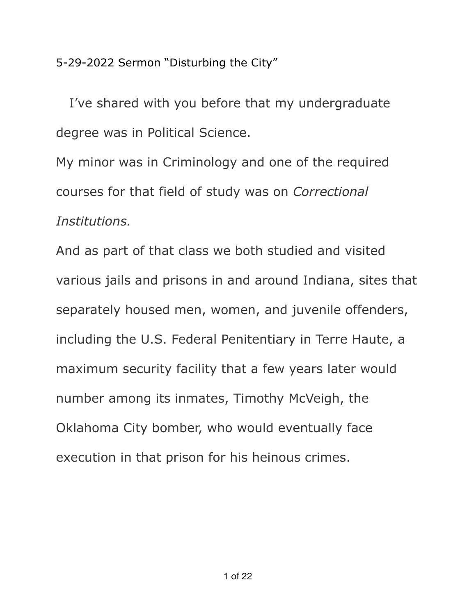5-29-2022 Sermon "Disturbing the City"

 I've shared with you before that my undergraduate degree was in Political Science.

My minor was in Criminology and one of the required courses for that field of study was on *Correctional Institutions.* 

And as part of that class we both studied and visited various jails and prisons in and around Indiana, sites that separately housed men, women, and juvenile offenders, including the U.S. Federal Penitentiary in Terre Haute, a maximum security facility that a few years later would number among its inmates, Timothy McVeigh, the Oklahoma City bomber, who would eventually face execution in that prison for his heinous crimes.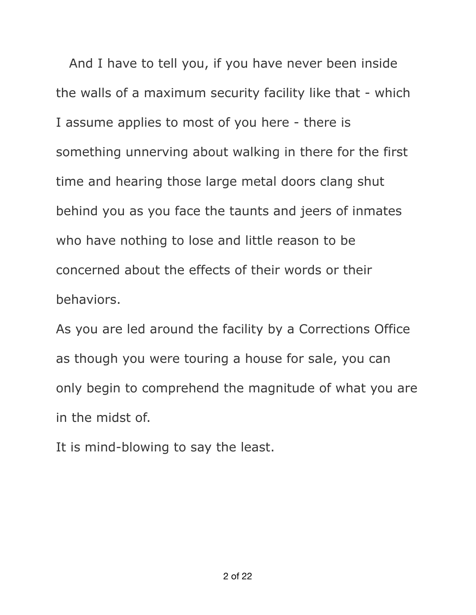And I have to tell you, if you have never been inside the walls of a maximum security facility like that - which I assume applies to most of you here - there is something unnerving about walking in there for the first time and hearing those large metal doors clang shut behind you as you face the taunts and jeers of inmates who have nothing to lose and little reason to be concerned about the effects of their words or their behaviors.

As you are led around the facility by a Corrections Office as though you were touring a house for sale, you can only begin to comprehend the magnitude of what you are in the midst of.

It is mind-blowing to say the least.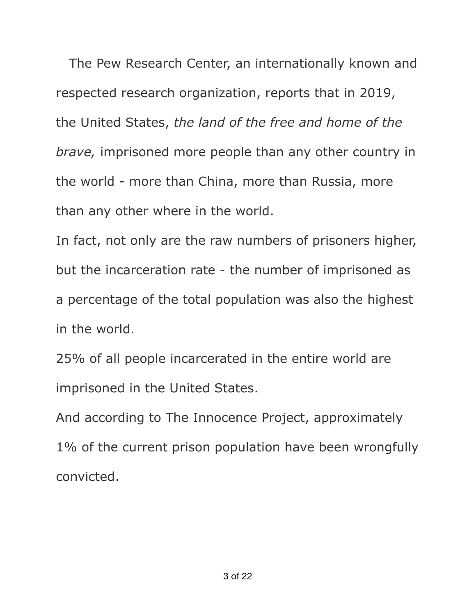The Pew Research Center, an internationally known and respected research organization, reports that in 2019, the United States, *the land of the free and home of the brave,* imprisoned more people than any other country in the world - more than China, more than Russia, more than any other where in the world.

In fact, not only are the raw numbers of prisoners higher, but the incarceration rate - the number of imprisoned as a percentage of the total population was also the highest in the world.

25% of all people incarcerated in the entire world are imprisoned in the United States.

And according to The Innocence Project, approximately 1% of the current prison population have been wrongfully convicted.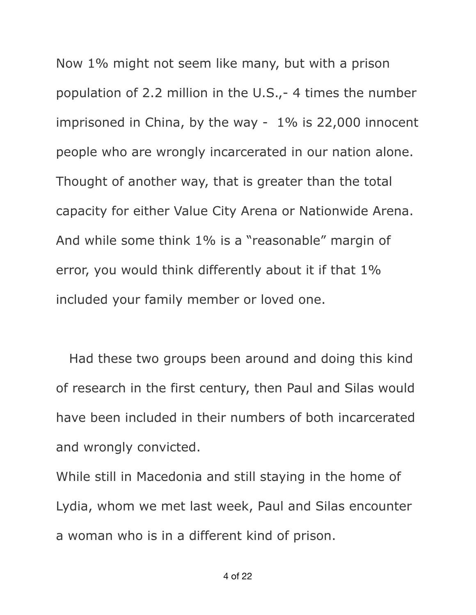Now 1% might not seem like many, but with a prison population of 2.2 million in the U.S.,- 4 times the number imprisoned in China, by the way - 1% is 22,000 innocent people who are wrongly incarcerated in our nation alone. Thought of another way, that is greater than the total capacity for either Value City Arena or Nationwide Arena. And while some think 1% is a "reasonable" margin of error, you would think differently about it if that 1% included your family member or loved one.

 Had these two groups been around and doing this kind of research in the first century, then Paul and Silas would have been included in their numbers of both incarcerated and wrongly convicted.

While still in Macedonia and still staying in the home of Lydia, whom we met last week, Paul and Silas encounter a woman who is in a different kind of prison.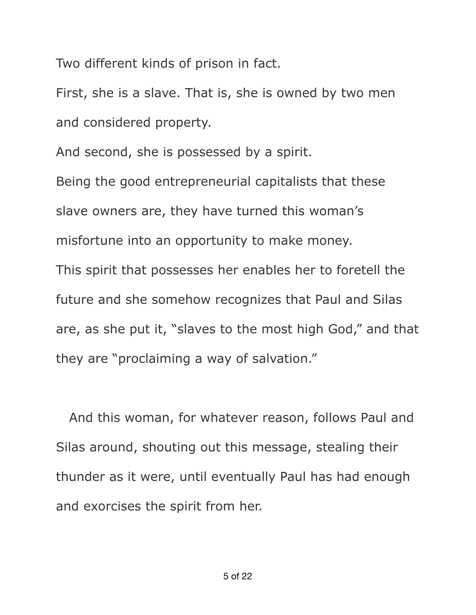Two different kinds of prison in fact.

First, she is a slave. That is, she is owned by two men and considered property.

And second, she is possessed by a spirit.

Being the good entrepreneurial capitalists that these slave owners are, they have turned this woman's misfortune into an opportunity to make money. This spirit that possesses her enables her to foretell the future and she somehow recognizes that Paul and Silas are, as she put it, "slaves to the most high God," and that they are "proclaiming a way of salvation."

 And this woman, for whatever reason, follows Paul and Silas around, shouting out this message, stealing their thunder as it were, until eventually Paul has had enough and exorcises the spirit from her.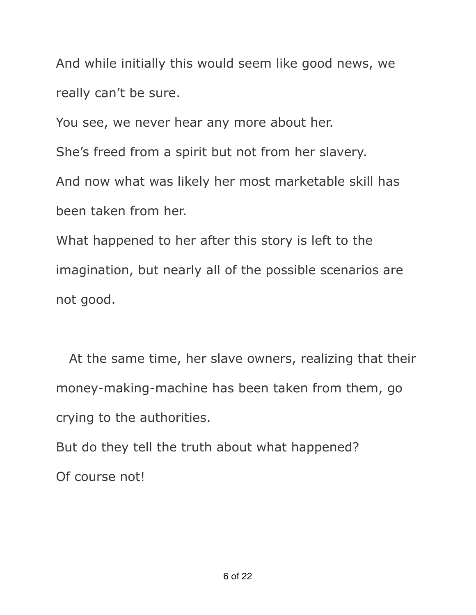And while initially this would seem like good news, we really can't be sure.

You see, we never hear any more about her.

She's freed from a spirit but not from her slavery.

And now what was likely her most marketable skill has been taken from her.

What happened to her after this story is left to the imagination, but nearly all of the possible scenarios are not good.

 At the same time, her slave owners, realizing that their money-making-machine has been taken from them, go crying to the authorities.

But do they tell the truth about what happened? Of course not!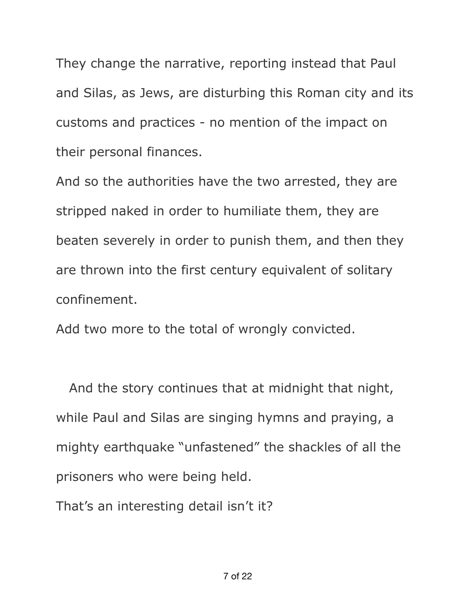They change the narrative, reporting instead that Paul and Silas, as Jews, are disturbing this Roman city and its customs and practices - no mention of the impact on their personal finances.

And so the authorities have the two arrested, they are stripped naked in order to humiliate them, they are beaten severely in order to punish them, and then they are thrown into the first century equivalent of solitary confinement.

Add two more to the total of wrongly convicted.

 And the story continues that at midnight that night, while Paul and Silas are singing hymns and praying, a mighty earthquake "unfastened" the shackles of all the prisoners who were being held.

That's an interesting detail isn't it?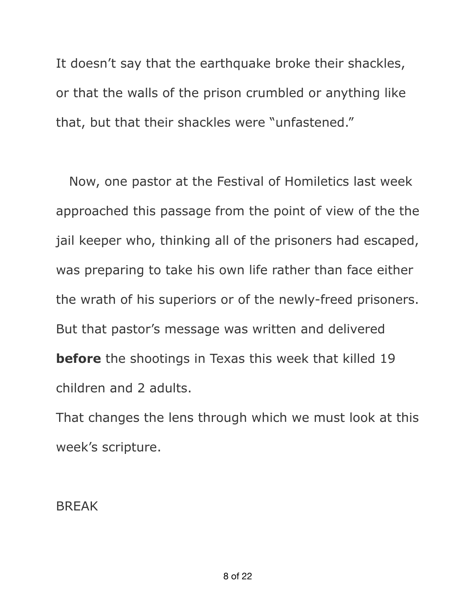It doesn't say that the earthquake broke their shackles, or that the walls of the prison crumbled or anything like that, but that their shackles were "unfastened."

 Now, one pastor at the Festival of Homiletics last week approached this passage from the point of view of the the jail keeper who, thinking all of the prisoners had escaped, was preparing to take his own life rather than face either the wrath of his superiors or of the newly-freed prisoners. But that pastor's message was written and delivered **before** the shootings in Texas this week that killed 19 children and 2 adults.

That changes the lens through which we must look at this week's scripture.

BREAK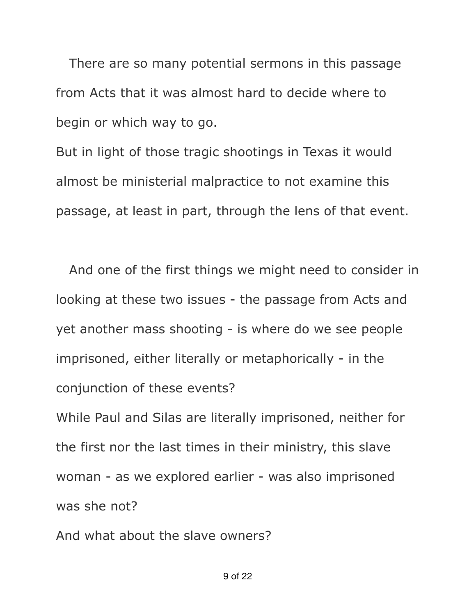There are so many potential sermons in this passage from Acts that it was almost hard to decide where to begin or which way to go.

But in light of those tragic shootings in Texas it would almost be ministerial malpractice to not examine this passage, at least in part, through the lens of that event.

 And one of the first things we might need to consider in looking at these two issues - the passage from Acts and yet another mass shooting - is where do we see people imprisoned, either literally or metaphorically - in the conjunction of these events? While Paul and Silas are literally imprisoned, neither for the first nor the last times in their ministry, this slave woman - as we explored earlier - was also imprisoned was she not?

And what about the slave owners?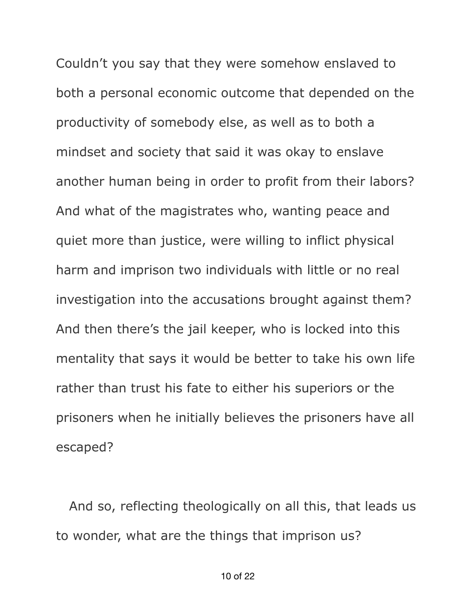Couldn't you say that they were somehow enslaved to both a personal economic outcome that depended on the productivity of somebody else, as well as to both a mindset and society that said it was okay to enslave another human being in order to profit from their labors? And what of the magistrates who, wanting peace and quiet more than justice, were willing to inflict physical harm and imprison two individuals with little or no real investigation into the accusations brought against them? And then there's the jail keeper, who is locked into this mentality that says it would be better to take his own life rather than trust his fate to either his superiors or the prisoners when he initially believes the prisoners have all escaped?

 And so, reflecting theologically on all this, that leads us to wonder, what are the things that imprison us?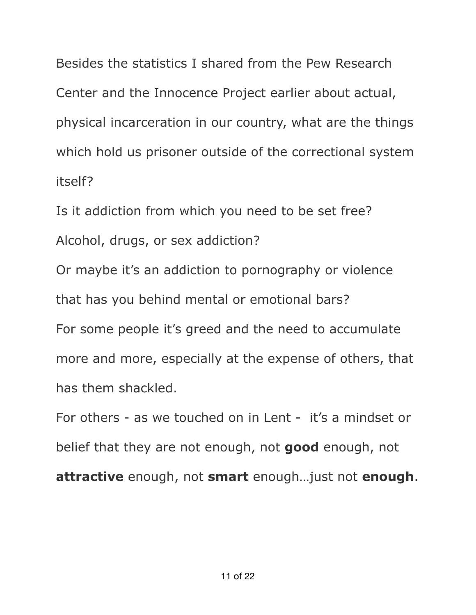Besides the statistics I shared from the Pew Research Center and the Innocence Project earlier about actual, physical incarceration in our country, what are the things which hold us prisoner outside of the correctional system itself?

Is it addiction from which you need to be set free? Alcohol, drugs, or sex addiction?

Or maybe it's an addiction to pornography or violence that has you behind mental or emotional bars? For some people it's greed and the need to accumulate more and more, especially at the expense of others, that has them shackled.

For others - as we touched on in Lent - it's a mindset or belief that they are not enough, not **good** enough, not **attractive** enough, not **smart** enough…just not **enough**.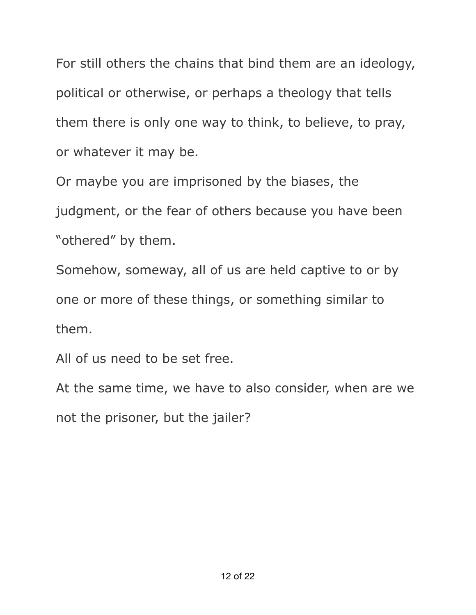For still others the chains that bind them are an ideology, political or otherwise, or perhaps a theology that tells them there is only one way to think, to believe, to pray, or whatever it may be.

Or maybe you are imprisoned by the biases, the judgment, or the fear of others because you have been "othered" by them.

Somehow, someway, all of us are held captive to or by one or more of these things, or something similar to them.

All of us need to be set free.

At the same time, we have to also consider, when are we not the prisoner, but the jailer?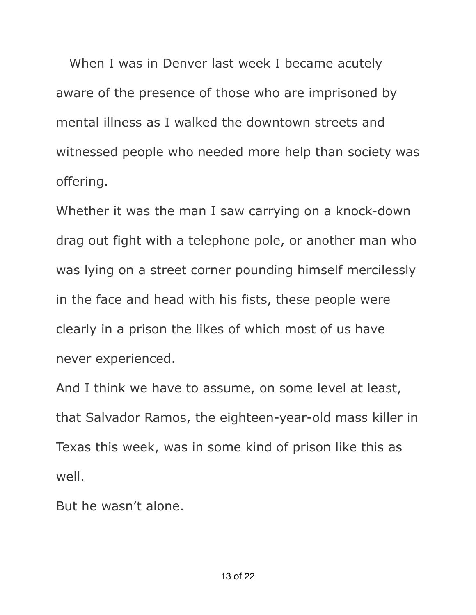When I was in Denver last week I became acutely aware of the presence of those who are imprisoned by mental illness as I walked the downtown streets and witnessed people who needed more help than society was offering.

Whether it was the man I saw carrying on a knock-down drag out fight with a telephone pole, or another man who was lying on a street corner pounding himself mercilessly in the face and head with his fists, these people were clearly in a prison the likes of which most of us have never experienced.

And I think we have to assume, on some level at least, that Salvador Ramos, the eighteen-year-old mass killer in Texas this week, was in some kind of prison like this as well.

But he wasn't alone.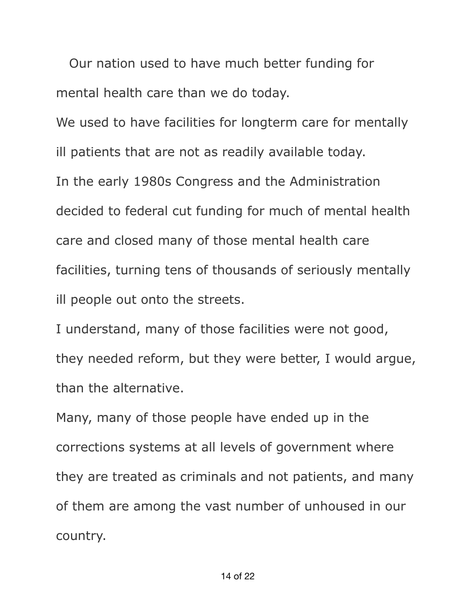Our nation used to have much better funding for mental health care than we do today.

We used to have facilities for longterm care for mentally

ill patients that are not as readily available today.

In the early 1980s Congress and the Administration decided to federal cut funding for much of mental health care and closed many of those mental health care facilities, turning tens of thousands of seriously mentally ill people out onto the streets.

I understand, many of those facilities were not good, they needed reform, but they were better, I would argue, than the alternative.

Many, many of those people have ended up in the corrections systems at all levels of government where they are treated as criminals and not patients, and many of them are among the vast number of unhoused in our country.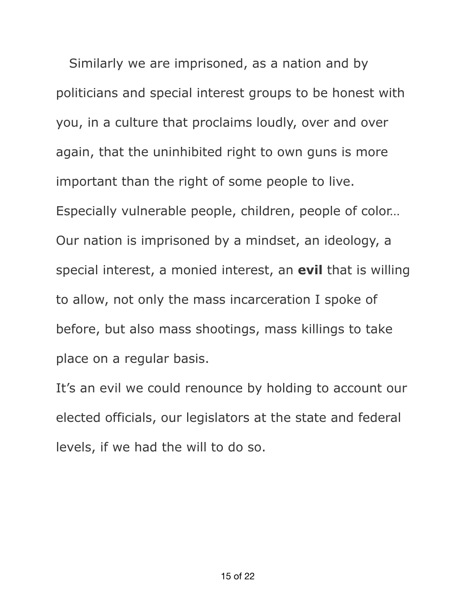Similarly we are imprisoned, as a nation and by politicians and special interest groups to be honest with you, in a culture that proclaims loudly, over and over again, that the uninhibited right to own guns is more important than the right of some people to live. Especially vulnerable people, children, people of color… Our nation is imprisoned by a mindset, an ideology, a special interest, a monied interest, an **evil** that is willing to allow, not only the mass incarceration I spoke of before, but also mass shootings, mass killings to take place on a regular basis.

It's an evil we could renounce by holding to account our elected officials, our legislators at the state and federal levels, if we had the will to do so.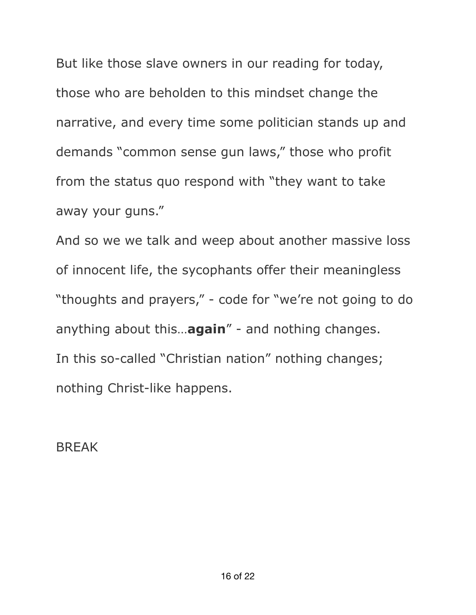But like those slave owners in our reading for today, those who are beholden to this mindset change the narrative, and every time some politician stands up and demands "common sense gun laws," those who profit from the status quo respond with "they want to take away your guns."

And so we we talk and weep about another massive loss of innocent life, the sycophants offer their meaningless "thoughts and prayers," - code for "we're not going to do anything about this…**again**" - and nothing changes. In this so-called "Christian nation" nothing changes; nothing Christ-like happens.

BREAK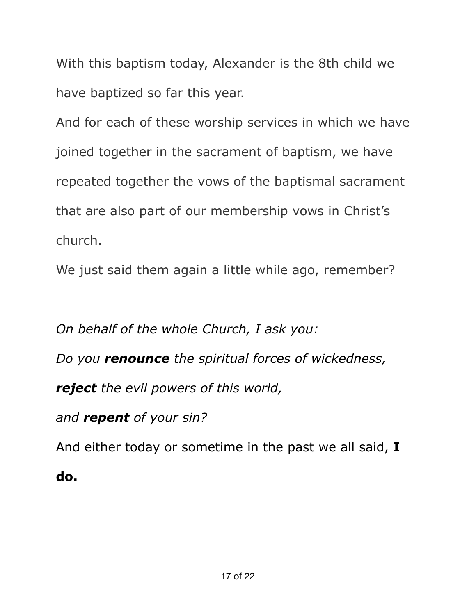With this baptism today, Alexander is the 8th child we have baptized so far this year.

And for each of these worship services in which we have joined together in the sacrament of baptism, we have repeated together the vows of the baptismal sacrament that are also part of our membership vows in Christ's church.

We just said them again a little while ago, remember?

*On behalf of the whole Church, I ask you: Do you renounce the spiritual forces of wickedness, reject the evil powers of this world, and repent of your sin?* And either today or sometime in the past we all said, **I** 

**do.**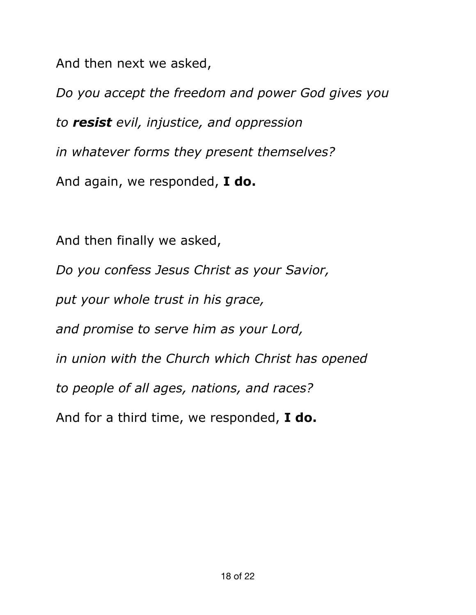And then next we asked,

*Do you accept the freedom and power God gives you to resist evil, injustice, and oppression in whatever forms they present themselves?* And again, we responded, **I do.**

And then finally we asked, *Do you confess Jesus Christ as your Savior, put your whole trust in his grace, and promise to serve him as your Lord, in union with the Church which Christ has opened to people of all ages, nations, and races?* And for a third time, we responded, **I do.**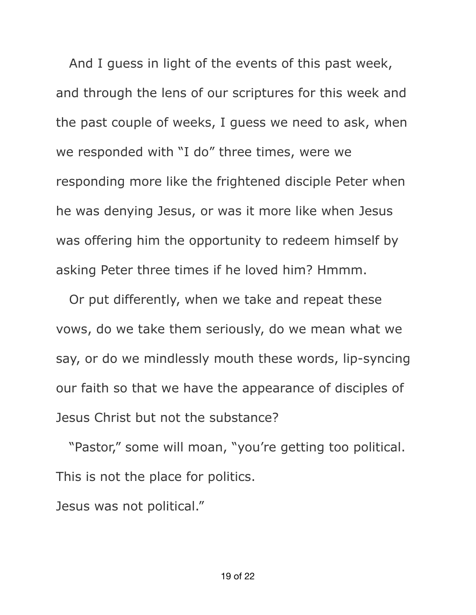And I guess in light of the events of this past week, and through the lens of our scriptures for this week and the past couple of weeks, I guess we need to ask, when we responded with "I do" three times, were we responding more like the frightened disciple Peter when he was denying Jesus, or was it more like when Jesus was offering him the opportunity to redeem himself by asking Peter three times if he loved him? Hmmm.

 Or put differently, when we take and repeat these vows, do we take them seriously, do we mean what we say, or do we mindlessly mouth these words, lip-syncing our faith so that we have the appearance of disciples of Jesus Christ but not the substance?

 "Pastor," some will moan, "you're getting too political. This is not the place for politics.

Jesus was not political."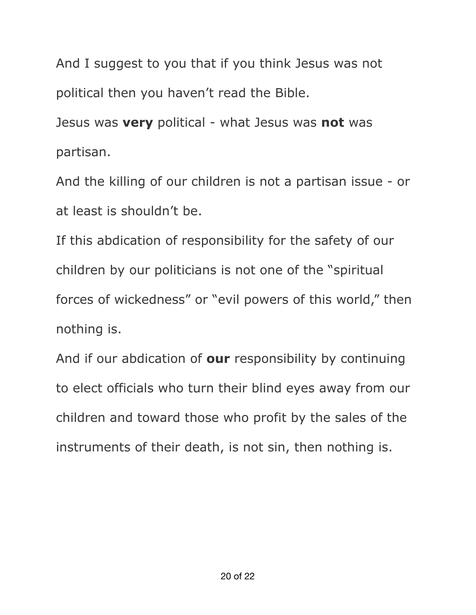And I suggest to you that if you think Jesus was not political then you haven't read the Bible.

Jesus was **very** political - what Jesus was **not** was partisan.

And the killing of our children is not a partisan issue - or at least is shouldn't be.

If this abdication of responsibility for the safety of our children by our politicians is not one of the "spiritual forces of wickedness" or "evil powers of this world," then nothing is.

And if our abdication of **our** responsibility by continuing to elect officials who turn their blind eyes away from our children and toward those who profit by the sales of the instruments of their death, is not sin, then nothing is.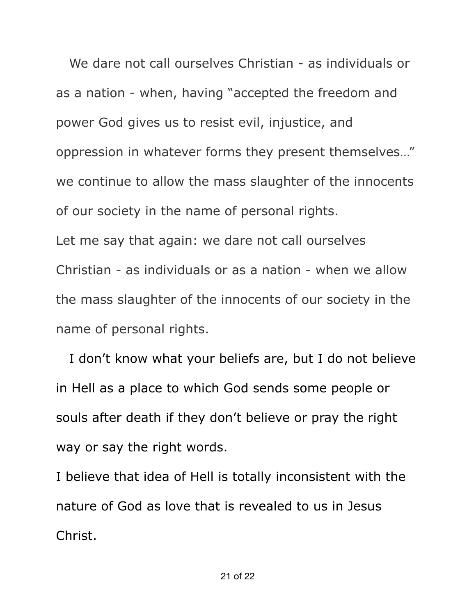We dare not call ourselves Christian - as individuals or as a nation - when, having "accepted the freedom and power God gives us to resist evil, injustice, and oppression in whatever forms they present themselves…" we continue to allow the mass slaughter of the innocents of our society in the name of personal rights. Let me say that again: we dare not call ourselves Christian - as individuals or as a nation - when we allow the mass slaughter of the innocents of our society in the name of personal rights.

 I don't know what your beliefs are, but I do not believe in Hell as a place to which God sends some people or souls after death if they don't believe or pray the right way or say the right words.

I believe that idea of Hell is totally inconsistent with the nature of God as love that is revealed to us in Jesus Christ.